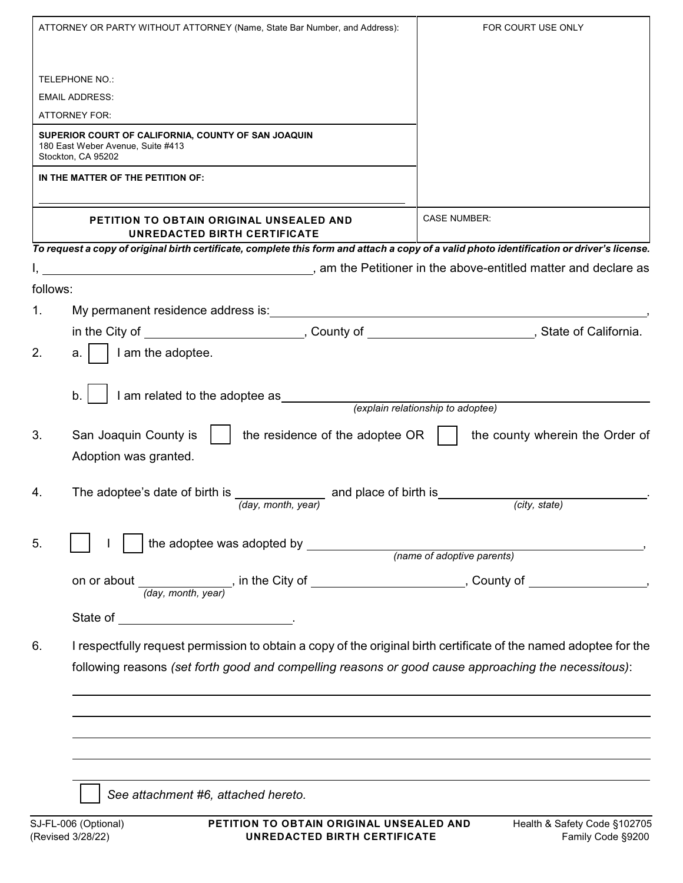| ATTORNEY OR PARTY WITHOUT ATTORNEY (Name, State Bar Number, and Address): |                                                                                                                                                                                                                           | FOR COURT USE ONLY                                |
|---------------------------------------------------------------------------|---------------------------------------------------------------------------------------------------------------------------------------------------------------------------------------------------------------------------|---------------------------------------------------|
|                                                                           | <b>TELEPHONE NO.:</b>                                                                                                                                                                                                     |                                                   |
|                                                                           | <b>EMAIL ADDRESS:</b>                                                                                                                                                                                                     |                                                   |
|                                                                           | <b>ATTORNEY FOR:</b>                                                                                                                                                                                                      |                                                   |
|                                                                           |                                                                                                                                                                                                                           |                                                   |
|                                                                           | SUPERIOR COURT OF CALIFORNIA, COUNTY OF SAN JOAQUIN<br>180 East Weber Avenue, Suite #413<br>Stockton, CA 95202                                                                                                            |                                                   |
|                                                                           | IN THE MATTER OF THE PETITION OF:                                                                                                                                                                                         |                                                   |
|                                                                           | <b>PETITION TO OBTAIN ORIGINAL UNSEALED AND</b><br>UNREDACTED BIRTH CERTIFICATE                                                                                                                                           | <b>CASE NUMBER:</b>                               |
|                                                                           | To request a copy of original birth certificate, complete this form and attach a copy of a valid photo identification or driver's license.                                                                                |                                                   |
|                                                                           | am the Petitioner in the above-entitled matter and declare as june 10 and 10 million matter and declare as                                                                                                                |                                                   |
| follows:                                                                  |                                                                                                                                                                                                                           |                                                   |
| 1.                                                                        |                                                                                                                                                                                                                           |                                                   |
|                                                                           |                                                                                                                                                                                                                           |                                                   |
| 2.                                                                        | I am the adoptee.<br>а.                                                                                                                                                                                                   |                                                   |
|                                                                           | I am related to the adoptee as<br>b.                                                                                                                                                                                      | (explain relationship to adoptee)                 |
| 3.                                                                        | San Joaquin County is<br>the residence of the adoptee OR<br>Adoption was granted.                                                                                                                                         | the county wherein the Order of                   |
| 4.                                                                        | The adoptee's date of birth is<br>and place of birth is<br>(day, month, year)                                                                                                                                             | (city, state)                                     |
| 5.                                                                        |                                                                                                                                                                                                                           |                                                   |
|                                                                           |                                                                                                                                                                                                                           |                                                   |
|                                                                           |                                                                                                                                                                                                                           |                                                   |
|                                                                           | State of _________________________________.                                                                                                                                                                               |                                                   |
| 6.                                                                        | I respectfully request permission to obtain a copy of the original birth certificate of the named adoptee for the<br>following reasons (set forth good and compelling reasons or good cause approaching the necessitous): |                                                   |
|                                                                           |                                                                                                                                                                                                                           |                                                   |
|                                                                           |                                                                                                                                                                                                                           |                                                   |
|                                                                           | See attachment #6, attached hereto.                                                                                                                                                                                       |                                                   |
|                                                                           | SJ-FL-006 (Optional)<br>PETITION TO OBTAIN ORIGINAL UNSEALED AND<br>(Revised 3/28/22)<br>UNREDACTED BIRTH CERTIFICATE                                                                                                     | Health & Safety Code §102705<br>Family Code §9200 |